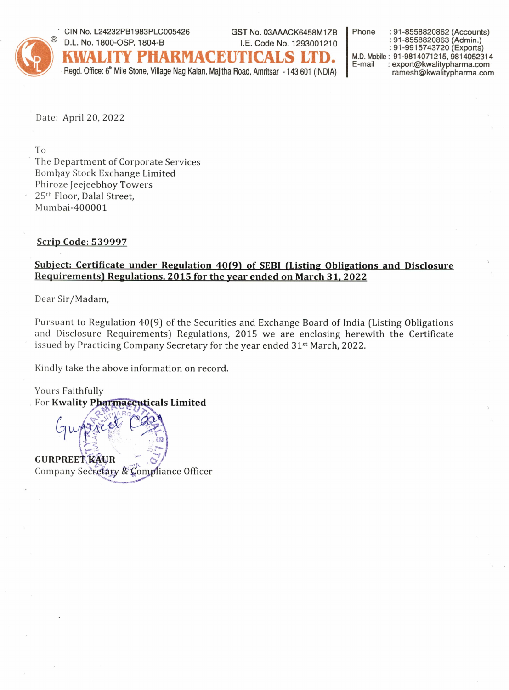

CIN No. L24232PB1983PLC005426 GST No. 03AAACK6458M1ZB



Regd. Office: 6<sup>th</sup> Mile Stone, Village Nag Kalan, Majitha Road, Amritsar - 143 601 (INDIA)

Phone : 91-8558820862 (Accounts) : 91-8558820863 (Admin.) : 91-9915743720 (Exports) M.D. Mobile: 91-9814071215, 9814052314 E-mail : export@kwalitypharma.com ramesh@kwalitypharma.com

Date: April 20, 2022

T<sub>o</sub>

The Department of Corporate Services Bombay Stock Exchange Limited Phiroze Jeejeebhoy Towers 25th Floor, Dalal Street, Mumbai-400001

## **Scrip Code: 539997**

## Subject: Certificate under Regulation 40(9) of SEBI (Listing Obligations and Disclosure Requirements) Regulations, 2015 for the year ended on March 31, 2022

Dear Sir/Madam,

Pursuant to Regulation 40(9) of the Securities and Exchange Board of India (Listing Obligations and Disclosure Requirements) Regulations, 2015 we are enclosing herewith the Certificate issued by Practicing Company Secretary for the year ended 31<sup>st</sup> March, 2022.

Kindly take the above information on record.

Yours Faithfully For Kwality Pharmaceuticals Limited **GURPREET KAUR** Company Secretary & Compliance Officer